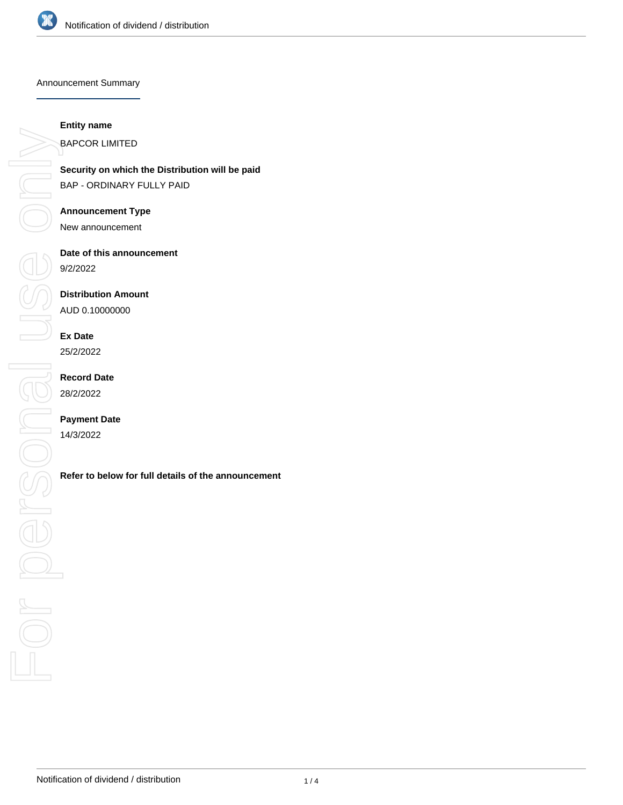

Announcement Summary

#### **Entity name**

BAPCOR LIMITED

**Security on which the Distribution will be paid** BAP - ORDINARY FULLY PAID

### **Announcement Type**

New announcement

# **Date of this announcement**

9/2/2022

### **Distribution Amount**

AUD 0.10000000

# **Ex Date**

25/2/2022

## **Record Date** 28/2/2022

# **Payment Date**

14/3/2022

**Referition in the Bistribution will be paid**<br> **RAP - ORDINARY FULLY PAID**<br> **Announcement Type**<br>
New announcement<br> **Date of this announcement**<br> **Refer to below for full details of the announcement**<br> **RAP - DAD 0.10000000**<br>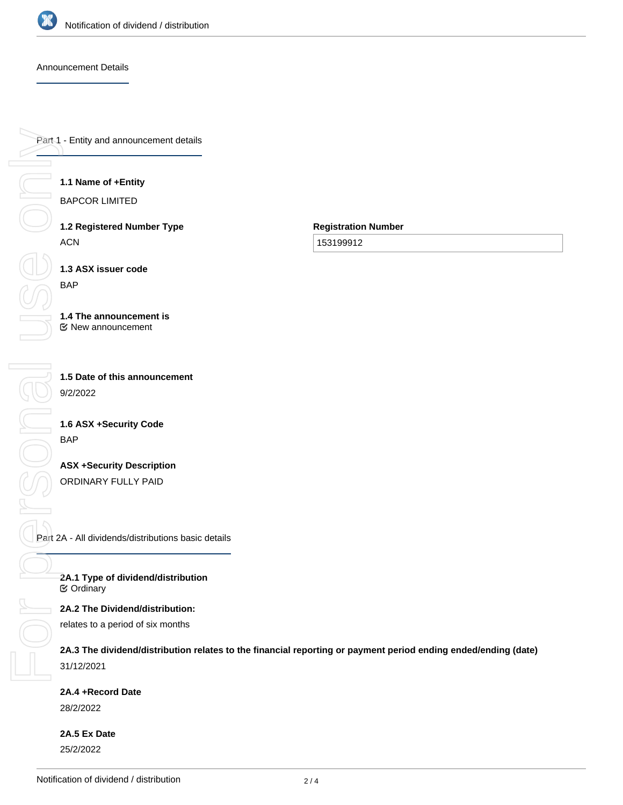

Announcement Details

Part 1 - Entity and announcement details

#### **1.1 Name of +Entity**

BAPCOR LIMITED

**1.2 Registered Number Type** ACN

**Registration Number**

153199912

**1.3 ASX issuer code**

**1.4 The announcement is**

New announcement

**1.5 Date of this announcement** 9/2/2022

**1.6 ASX +Security Code** BAP

**ASX +Security Description** ORDINARY FULLY PAID

Part 2A - All dividends/distributions basic details

**2A.1 Type of dividend/distribution ⊘** Ordinary

**2A.2 The Dividend/distribution:**

relates to a period of six months

**2A.3 The dividend/distribution relates to the financial reporting or payment period ending ended/ending (date)** 31/12/2021

**2A.4 +Record Date**

28/2/2022

**2A.5 Ex Date** 25/2/2022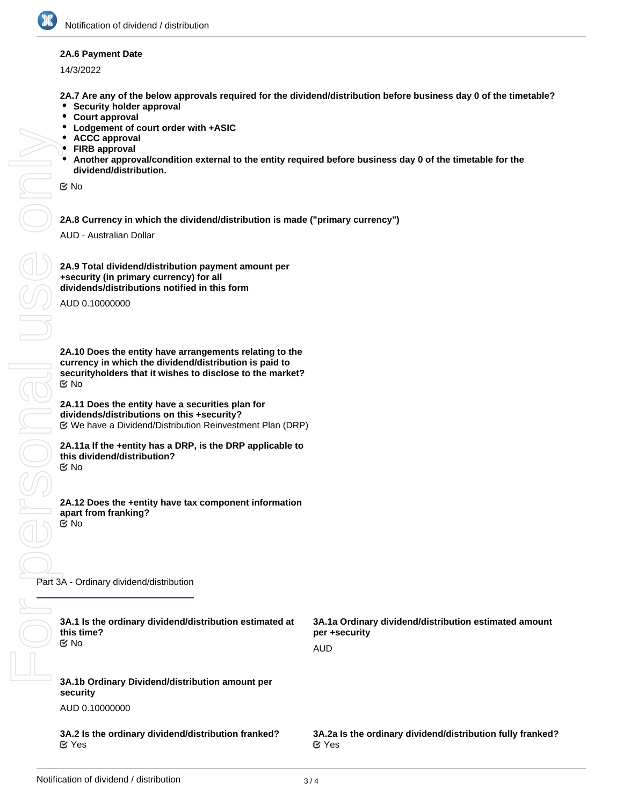

#### **2A.6 Payment Date**

14/3/2022

**2A.7 Are any of the below approvals required for the dividend/distribution before business day 0 of the timetable?**

- $\bullet$ **Security holder approval**
- $\bullet$ **Court approval**
- $\bullet$ **Lodgement of court order with +ASIC**
- **ACCC approval**
- **FIRB approval**
- **Another approval/condition external to the entity required before business day 0 of the timetable for the dividend/distribution.**

No

**2A.8 Currency in which the dividend/distribution is made ("primary currency")**

AUD - Australian Dollar

FORSONAL USE ONN **DOD SONG**  $\bigcap$   $\bigcap$ 

**2A.9 Total dividend/distribution payment amount per +security (in primary currency) for all dividends/distributions notified in this form**

AUD 0.10000000

**2A.10 Does the entity have arrangements relating to the currency in which the dividend/distribution is paid to securityholders that it wishes to disclose to the market?** No

**2A.11 Does the entity have a securities plan for dividends/distributions on this +security?** We have a Dividend/Distribution Reinvestment Plan (DRP)

**2A.11a If the +entity has a DRP, is the DRP applicable to this dividend/distribution?** No

**2A.12 Does the +entity have tax component information apart from franking?** No

Part 3A - Ordinary dividend/distribution

| 3A.1 Is the ordinary dividend/distribution estimated at<br>this time?<br>় No | 3A.1a Ordinary dividend/distribution estimated amount<br>per +security<br>AUD |
|-------------------------------------------------------------------------------|-------------------------------------------------------------------------------|
| 3A.1b Ordinary Dividend/distribution amount per<br>security<br>AUD 0.10000000 |                                                                               |
| 3A.2 Is the ordinary dividend/distribution franked?<br>$\alpha$ Yes           | 3A.2a Is the ordinary dividend/distribution fully franked?<br>$\alpha$ Yes    |
|                                                                               |                                                                               |